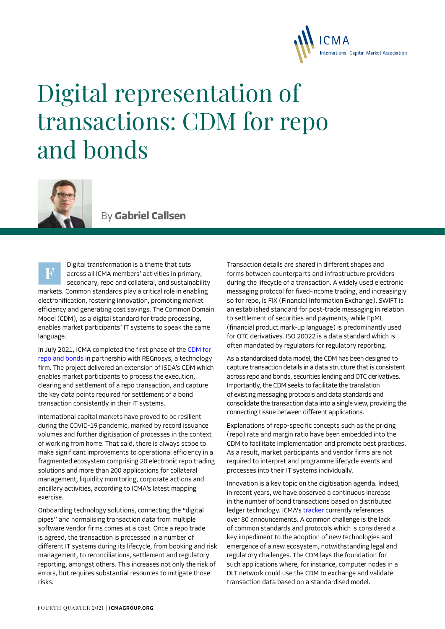

## Digital representation of transactions: CDM for repo and bonds



By **Gabriel Callsen**

Digital transformation is a theme that cuts across all ICMA members' activities in primary, secondary, repo and collateral, and sustainability markets. Common standards play a critical role in enabling electronification, fostering innovation, promoting market efficiency and generating cost savings. The Common Domain Model (CDM), as a digital standard for trade processing, enables market participants' IT systems to speak the same language.

In July 2021, ICMA completed the first phase of the [CDM for](https://www.icmagroup.org/Regulatory-Policy-and-Market-Practice/repo-and-collateral-markets/fintech/common-domain-model-cdm/)  [repo and bonds](https://www.icmagroup.org/Regulatory-Policy-and-Market-Practice/repo-and-collateral-markets/fintech/common-domain-model-cdm/) in partnership with REGnosys, a technology firm. The project delivered an extension of ISDA's CDM which enables market participants to process the execution, clearing and settlement of a repo transaction, and capture the key data points required for settlement of a bond transaction consistently in their IT systems.

International capital markets have proved to be resilient during the COVID-19 pandemic, marked by record issuance volumes and further digitisation of processes in the context of working from home. That said, there is always scope to make significant improvements to operational efficiency in a fragmented ecosystem comprising 20 electronic repo trading solutions and more than 200 applications for collateral management, liquidity monitoring, corporate actions and ancillary activities, according to ICMA's latest mapping exercise.

Onboarding technology solutions, connecting the "digital pipes" and normalising transaction data from multiple software vendor firms comes at a cost. Once a repo trade is agreed, the transaction is processed in a number of different IT systems during its lifecycle, from booking and risk management, to reconciliations, settlement and regulatory reporting, amongst others. This increases not only the risk of errors, but requires substantial resources to mitigate those risks.

Transaction details are shared in different shapes and forms between counterparts and infrastructure providers during the lifecycle of a transaction. A widely used electronic messaging protocol for fixed-income trading, and increasingly so for repo, is FIX (Financial Information Exchange). SWIFT is an established standard for post-trade messaging in relation to settlement of securities and payments, while FpML (financial product mark-up language) is predominantly used for OTC derivatives. ISO 20022 is a data standard which is often mandated by regulators for regulatory reporting.

As a standardised data model, the CDM has been designed to capture transaction details in a data structure that is consistent across repo and bonds, securities lending and OTC derivatives. Importantly, the CDM seeks to facilitate the translation of existing messaging protocols and data standards and consolidate the transaction data into a single view, providing the connecting tissue between different applications.

Explanations of repo-specific concepts such as the pricing (repo) rate and margin ratio have been embedded into the CDM to facilitate implementation and promote best practices. As a result, market participants and vendor firms are not required to interpret and programme lifecycle events and processes into their IT systems individually.

Innovation is a key topic on the digitisation agenda. Indeed, in recent years, we have observed a continuous increase in the number of bond transactions based on distributed ledger technology. ICMA's [tracker](https://www.icmagroup.org/Regulatory-Policy-and-Market-Practice/fintech/new-fintech-applications-in-bond-markets/) currently references over 80 announcements. A common challenge is the lack of common standards and protocols which is considered a key impediment to the adoption of new technologies and emergence of a new ecosystem, notwithstanding legal and regulatory challenges. The CDM lays the foundation for such applications where, for instance, computer nodes in a DLT network could use the CDM to exchange and validate transaction data based on a standardised model.